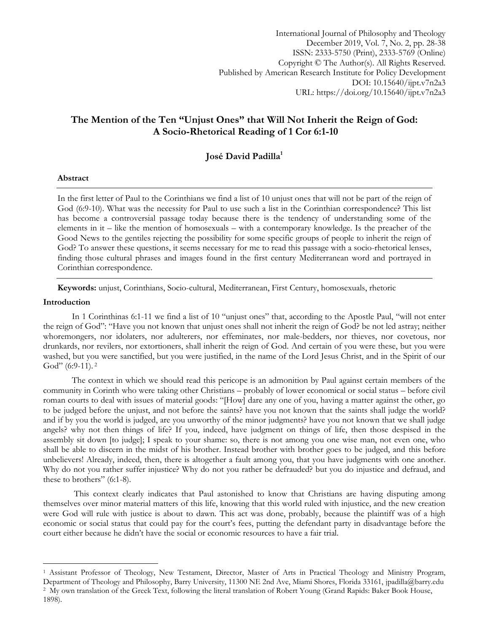International Journal of Philosophy and Theology December 2019, Vol. 7, No. 2, pp. 28-38 ISSN: 2333-5750 (Print), 2333-5769 (Online) Copyright © The Author(s). All Rights Reserved. Published by American Research Institute for Policy Development DOI: 10.15640/ijpt.v7n2a3 URL: https://doi.org/10.15640/ijpt.v7n2a3

# **The Mention of the Ten "Unjust Ones" that Will Not Inherit the Reign of God: A Socio-Rhetorical Reading of 1 Cor 6:1-10**

## **José David Padilla<sup>1</sup>**

#### **Abstract**

In the first letter of Paul to the Corinthians we find a list of 10 unjust ones that will not be part of the reign of God (6:9-10). What was the necessity for Paul to use such a list in the Corinthian correspondence? This list has become a controversial passage today because there is the tendency of understanding some of the elements in it – like the mention of homosexuals – with a contemporary knowledge. Is the preacher of the Good News to the gentiles rejecting the possibility for some specific groups of people to inherit the reign of God? To answer these questions, it seems necessary for me to read this passage with a socio-rhetorical lenses, finding those cultural phrases and images found in the first century Mediterranean word and portrayed in Corinthian correspondence.

**Keywords:** unjust, Corinthians, Socio-cultural, Mediterranean, First Century, homosexuals, rhetoric

#### **Introduction**

 $\overline{a}$ 

In 1 Corinthinas 6:1-11 we find a list of 10 "unjust ones" that, according to the Apostle Paul, "will not enter the reign of God": "Have you not known that unjust ones shall not inherit the reign of God? be not led astray; neither whoremongers, nor idolaters, nor adulterers, nor effeminates, nor male-bedders, nor thieves, nor covetous, nor drunkards, nor revilers, nor extortioners, shall inherit the reign of God. And certain of you were these, but you were washed, but you were sanctified, but you were justified, in the name of the Lord Jesus Christ, and in the Spirit of our God" (6:9-11).<sup>2</sup>

The context in which we should read this pericope is an admonition by Paul against certain members of the community in Corinth who were taking other Christians – probably of lower economical or social status – before civil roman courts to deal with issues of material goods: "[How] dare any one of you, having a matter against the other, go to be judged before the unjust, and not before the saints? have you not known that the saints shall judge the world? and if by you the world is judged, are you unworthy of the minor judgments? have you not known that we shall judge angels? why not then things of life? If you, indeed, have judgment on things of life, then those despised in the assembly sit down [to judge]; I speak to your shame: so, there is not among you one wise man, not even one, who shall be able to discern in the midst of his brother. Instead brother with brother goes to be judged, and this before unbelievers! Already, indeed, then, there is altogether a fault among you, that you have judgments with one another. Why do not you rather suffer injustice? Why do not you rather be defrauded? but you do injustice and defraud, and these to brothers" (6:1-8).

This context clearly indicates that Paul astonished to know that Christians are having disputing among themselves over minor material matters of this life, knowing that this world ruled with injustice, and the new creation were God will rule with justice is about to dawn. This act was done, probably, because the plaintiff was of a high economic or social status that could pay for the court's fees, putting the defendant party in disadvantage before the court either because he didn"t have the social or economic resources to have a fair trial.

<sup>1</sup> Assistant Professor of Theology, New Testament, Director, Master of Arts in Practical Theology and Ministry Program, Department of Theology and Philosophy, Barry University, 11300 NE 2nd Ave, Miami Shores, Florida 33161, [jpadilla@barry.edu](mailto:jpadilla@barry.edu) <sup>2</sup> My own translation of the Greek Text, following the literal translation of Robert Young (Grand Rapids: Baker Book House, 1898).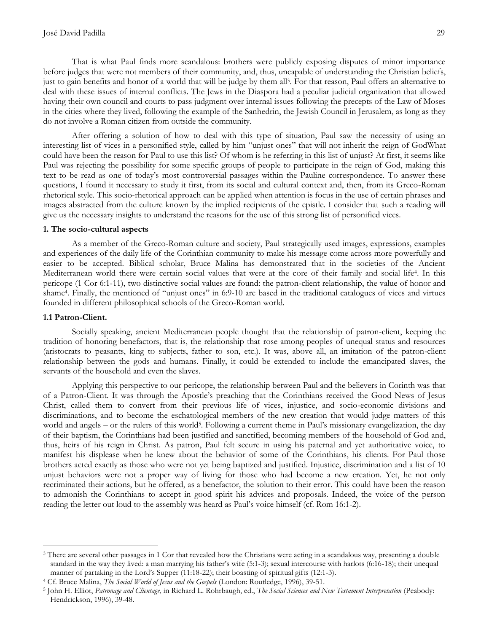That is what Paul finds more scandalous: brothers were publicly exposing disputes of minor importance before judges that were not members of their community, and, thus, uncapable of understanding the Christian beliefs, just to gain benefits and honor of a world that will be judge by them all<sup>3</sup>. For that reason, Paul offers an alternative to deal with these issues of internal conflicts. The Jews in the Diaspora had a peculiar judicial organization that allowed having their own council and courts to pass judgment over internal issues following the precepts of the Law of Moses in the cities where they lived, following the example of the Sanhedrin, the Jewish Council in Jerusalem, as long as they do not involve a Roman citizen from outside the community.

After offering a solution of how to deal with this type of situation, Paul saw the necessity of using an interesting list of vices in a personified style, called by him "unjust ones" that will not inherit the reign of GodWhat could have been the reason for Paul to use this list? Of whom is he referring in this list of unjust? At first, it seems like Paul was rejecting the possibility for some specific groups of people to participate in the reign of God, making this text to be read as one of today"s most controversial passages within the Pauline correspondence. To answer these questions, I found it necessary to study it first, from its social and cultural context and, then, from its Greco-Roman rhetorical style. This socio-rhetorical approach can be applied when attention is focus in the use of certain phrases and images abstracted from the culture known by the implied recipients of the epistle. I consider that such a reading will give us the necessary insights to understand the reasons for the use of this strong list of personified vices.

#### **1. The socio-cultural aspects**

As a member of the Greco-Roman culture and society, Paul strategically used images, expressions, examples and experiences of the daily life of the Corinthian community to make his message come across more powerfully and easier to be accepted. Biblical scholar, Bruce Malina has demonstrated that in the societies of the Ancient Mediterranean world there were certain social values that were at the core of their family and social life<sup>4</sup> . In this pericope (1 Cor 6:1-11), two distinctive social values are found: the patron-client relationship, the value of honor and shame<sup>4</sup> . Finally, the mentioned of "unjust ones" in 6:9-10 are based in the traditional catalogues of vices and virtues founded in different philosophical schools of the Greco-Roman world.

#### **1.1 Patron-Client.**

 $\overline{a}$ 

Socially speaking, ancient Mediterranean people thought that the relationship of patron-client, keeping the tradition of honoring benefactors, that is, the relationship that rose among peoples of unequal status and resources (aristocrats to peasants, king to subjects, father to son, etc.). It was, above all, an imitation of the patron-client relationship between the gods and humans. Finally, it could be extended to include the emancipated slaves, the servants of the household and even the slaves.

Applying this perspective to our pericope, the relationship between Paul and the believers in Corinth was that of a Patron-Client. It was through the Apostle"s preaching that the Corinthians received the Good News of Jesus Christ, called them to convert from their previous life of vices, injustice, and socio-economic divisions and discriminations, and to become the eschatological members of the new creation that would judge matters of this world and angels – or the rulers of this world<sup>5</sup>. Following a current theme in Paul's missionary evangelization, the day of their baptism, the Corinthians had been justified and sanctified, becoming members of the household of God and, thus, heirs of his reign in Christ. As patron, Paul felt secure in using his paternal and yet authoritative voice, to manifest his displease when he knew about the behavior of some of the Corinthians, his clients. For Paul those brothers acted exactly as those who were not yet being baptized and justified. Injustice, discrimination and a list of 10 unjust behaviors were not a proper way of living for those who had become a new creation. Yet, he not only recriminated their actions, but he offered, as a benefactor, the solution to their error. This could have been the reason to admonish the Corinthians to accept in good spirit his advices and proposals. Indeed, the voice of the person reading the letter out loud to the assembly was heard as Paul"s voice himself (cf. Rom 16:1-2).

<sup>&</sup>lt;sup>3</sup> There are several other passages in 1 Cor that revealed how the Christians were acting in a scandalous way, presenting a double standard in the way they lived: a man marrying his father"s wife (5:1-3); sexual intercourse with harlots (6:16-18); their unequal manner of partaking in the Lord's Supper (11:18-22); their boasting of spiritual gifts (12:1-3).

<sup>4</sup> Cf. Bruce Malina, *The Social World of Jesus and the Gospels* (London: Routledge, 1996), 39-51.

<sup>5</sup> John H. Elliot, *Patronage and Clientage*, in Richard L. Rohrbaugh, ed., *The Social Sciences and New Testament Interpretation* (Peabody: Hendrickson, 1996), 39-48.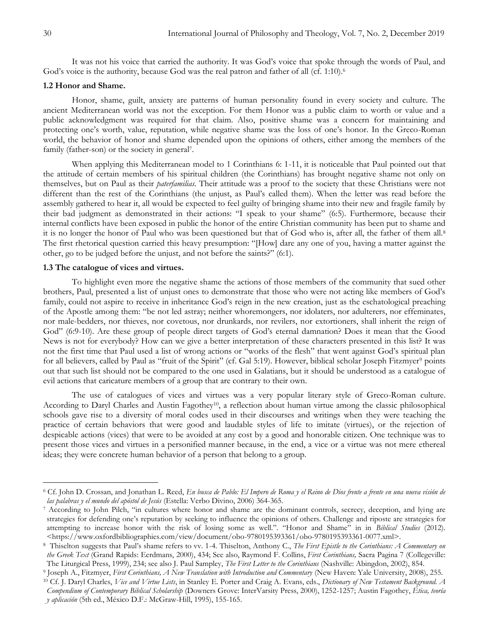It was not his voice that carried the authority. It was God's voice that spoke through the words of Paul, and God's voice is the authority, because God was the real patron and father of all (cf. 1:10).<sup>6</sup>

#### **1.2 Honor and Shame.**

Honor, shame, guilt, anxiety are patterns of human personality found in every society and culture. The ancient Mediterranean world was not the exception. For them Honor was a public claim to worth or value and a public acknowledgment was required for that claim. Also, positive shame was a concern for maintaining and protecting one"s worth, value, reputation, while negative shame was the loss of one"s honor. In the Greco-Roman world, the behavior of honor and shame depended upon the opinions of others, either among the members of the family (father-son) or the society in general<sup>7</sup>.

When applying this Mediterranean model to 1 Corinthians 6: 1-11, it is noticeable that Paul pointed out that the attitude of certain members of his spiritual children (the Corinthians) has brought negative shame not only on themselves, but on Paul as their *paterfamilias*. Their attitude was a proof to the society that these Christians were not different than the rest of the Corinthians (the unjust, as Paul"s called them). When the letter was read before the assembly gathered to hear it, all would be expected to feel guilty of bringing shame into their new and fragile family by their bad judgment as demonstrated in their actions: "I speak to your shame" (6:5). Furthermore, because their internal conflicts have been exposed in public the honor of the entire Christian community has been put to shame and it is no longer the honor of Paul who was been questioned but that of God who is, after all, the father of them all.<sup>8</sup> The first rhetorical question carried this heavy presumption: "[How] dare any one of you, having a matter against the other, go to be judged before the unjust, and not before the saints?" (6:1).

#### **1.3 The catalogue of vices and virtues.**

To highlight even more the negative shame the actions of those members of the community that sued other brothers, Paul, presented a list of unjust ones to demonstrate that those who were not acting like members of God"s family, could not aspire to receive in inheritance God's reign in the new creation, just as the eschatological preaching of the Apostle among them: "be not led astray; neither whoremongers, nor idolaters, nor adulterers, nor effeminates, nor male-bedders, nor thieves, nor covetous, nor drunkards, nor revilers, nor extortioners, shall inherit the reign of God" (6:9-10). Are these group of people direct targets of God"s eternal damnation? Does it mean that the Good News is not for everybody? How can we give a better interpretation of these characters presented in this list? It was not the first time that Paul used a list of wrong actions or "works of the flesh" that went against God's spiritual plan for all believers, called by Paul as "fruit of the Spirit" (cf. Gal 5:19). However, biblical scholar Joseph Fitzmyer<sup>9</sup> points out that such list should not be compared to the one used in Galatians, but it should be understood as a catalogue of evil actions that caricature members of a group that are contrary to their own.

The use of catalogues of vices and virtues was a very popular literary style of Greco-Roman culture. According to Daryl Charles and Austin Fagothey10, a reflection about human virtue among the classic philosophical schools gave rise to a diversity of moral codes used in their discourses and writings when they were teaching the practice of certain behaviors that were good and laudable styles of life to imitate (virtues), or the rejection of despicable actions (vices) that were to be avoided at any cost by a good and honorable citizen. One technique was to present those vices and virtues in a personified manner because, in the end, a vice or a virtue was not mere ethereal ideas; they were concrete human behavior of a person that belong to a group.

<sup>6</sup> Cf. John D. Crossan, and Jonathan L. Reed, *En busca de Pablo: El Impero de Roma y el Reino de Dios frente a frente en una nueva visión de las palabras y el mundo del apóstol de Jesús* (Estella: Verbo Divino, 2006) 364-365.

<sup>&</sup>lt;sup>7</sup> According to John Pilch, "in cultures where honor and shame are the dominant controls, secrecy, deception, and lying are strategies for defending one"s reputation by seeking to influence the opinions of others. Challenge and riposte are strategies for attempting to increase honor with the risk of losing some as well.". "Honor and Shame" in in *Biblical Studies* (2012). <https://www.oxfordbibliographies.com/view/document/obo-9780195393361/obo-9780195393361-0077.xml>.

<sup>8</sup> Thiselton suggests that Paul"s shame refers to vv. 1-4. Thiselton, Anthony C., *The First Epistle to the Corinthians: A Commentary on the Greek Text* (Grand Rapids: Eerdmans, 2000), 434; See also, Raymond F. Collins, *First Corinthians,* Sacra Pagina 7 (Collegeville: The Liturgical Press, 1999), 234; see also J. Paul Sampley, *The First Letter to the Corinthians* (Nashville: Abingdon, 2002), 854.

<sup>9</sup> Joseph A., Fitzmyer, *First Corinthians, A New Translation with Introduction and Commentary* (New Haven: Yale University, 2008), 255.

<sup>10</sup> Cf. J. Daryl Charles, *Vice and Virtue Lists*, in Stanley E. Porter and Craig A. Evans, eds., *Dictionary of New Testament Background. A Compendium of Contemporary Biblical Scholarship* (Downers Grove: InterVarsity Press, 2000), 1252-1257; Austin Fagothey, *Ética, teoría y aplicación* (5th ed., México D.F.: McGraw-Hill, 1995), 155-165.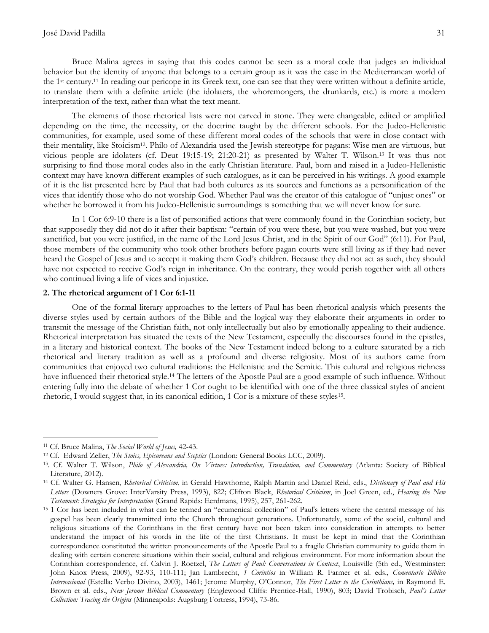Bruce Malina agrees in saying that this codes cannot be seen as a moral code that judges an individual behavior but the identity of anyone that belongs to a certain group as it was the case in the Mediterranean world of the 1st century.<sup>11</sup> In reading our pericope in its Greek text, one can see that they were written without a definite article, to translate them with a definite article (the idolaters, the whoremongers, the drunkards, etc.) is more a modern interpretation of the text, rather than what the text meant.

The elements of those rhetorical lists were not carved in stone. They were changeable, edited or amplified depending on the time, the necessity, or the doctrine taught by the different schools. For the Judeo-Hellenistic communities, for example, used some of these different moral codes of the schools that were in close contact with their mentality, like Stoicism12. Philo of Alexandria used the Jewish stereotype for pagans: Wise men are virtuous, but vicious people are idolaters (cf. Deut 19:15-19; 21:20-21) as presented by Walter T. Wilson.<sup>13</sup> It was thus not surprising to find those moral codes also in the early Christian literature. Paul, born and raised in a Judeo-Hellenistic context may have known different examples of such catalogues, as it can be perceived in his writings. A good example of it is the list presented here by Paul that had both cultures as its sources and functions as a personification of the vices that identify those who do not worship God. Whether Paul was the creator of this catalogue of "unjust ones" or whether he borrowed it from his Judeo-Hellenistic surroundings is something that we will never know for sure.

In 1 Cor 6:9-10 there is a list of personified actions that were commonly found in the Corinthian society, but that supposedly they did not do it after their baptism: "certain of you were these, but you were washed, but you were sanctified, but you were justified, in the name of the Lord Jesus Christ, and in the Spirit of our God" (6:11). For Paul, those members of the community who took other brothers before pagan courts were still living as if they had never heard the Gospel of Jesus and to accept it making them God's children. Because they did not act as such, they should have not expected to receive God's reign in inheritance. On the contrary, they would perish together with all others who continued living a life of vices and injustice.

## **2. The rhetorical argument of 1 Cor 6:1-11**

One of the formal literary approaches to the letters of Paul has been rhetorical analysis which presents the diverse styles used by certain authors of the Bible and the logical way they elaborate their arguments in order to transmit the message of the Christian faith, not only intellectually but also by emotionally appealing to their audience. Rhetorical interpretation has situated the texts of the New Testament, especially the discourses found in the epistles, in a literary and historical context. The books of the New Testament indeed belong to a culture saturated by a rich rhetorical and literary tradition as well as a profound and diverse religiosity. Most of its authors came from communities that enjoyed two cultural traditions: the Hellenistic and the Semitic. This cultural and religious richness have influenced their rhetorical style.<sup>14</sup> The letters of the Apostle Paul are a good example of such influence. Without entering fully into the debate of whether 1 Cor ought to be identified with one of the three classical styles of ancient rhetoric, I would suggest that, in its canonical edition, 1 Cor is a mixture of these styles<sup>15</sup> .

<sup>11</sup> Cf. Bruce Malina, *The Social World of Jesus,* 42-43.

<sup>12</sup> Cf. Edward Zeller, *The Stoics, Epicureans and Sceptics* (London: General Books LCC, 2009).

<sup>13</sup>. Cf. Walter T. Wilson, *Philo of Alexandria, On Virtues: Introduction, Translation, and Commentary* (Atlanta: Society of Biblical Literature, 2012).

<sup>14</sup> Cf. Walter G. Hansen, *Rhetorical Criticism*, in Gerald Hawthorne, Ralph Martin and Daniel Reid, eds., *Dictionary of Paul and His Letters* (Downers Grove: InterVarsity Press, 1993), 822; Clifton Black, *Rhetorical Criticism*, in Joel Green, ed., *Hearing the New Testament: Strategies for Interpretation* (Grand Rapids: Eerdmans, 1995), 257, 261-262.

<sup>&</sup>lt;sup>15</sup> 1 Cor has been included in what can be termed an "ecumenical collection" of Paul's letters where the central message of his gospel has been clearly transmitted into the Church throughout generations. Unfortunately, some of the social, cultural and religious situations of the Corinthians in the first century have not been taken into consideration in attempts to better understand the impact of his words in the life of the first Christians. It must be kept in mind that the Corinthian correspondence constituted the written pronouncements of the Apostle Paul to a fragile Christian community to guide them in dealing with certain concrete situations within their social, cultural and religious environment. For more information about the Corinthian correspondence, cf. Calvin J. Roetzel, *The Letters of Paul: Conversations in Context*, Louisville (5th ed., Westminster: John Knox Press, 2009), 92-93, 110-111; Jan Lambrecht, *1 Corintios* in William R. Farmer et al. eds., *Comentario Bíblico Internacional* (Estella: Verbo Divino, 2003), 1461; Jerome Murphy, O"Connor, *The First Letter to the Corinthians,* in Raymond E. Brown et al. eds., *New Jerome Biblical Commentary* (Englewood Cliffs: Prentice-Hall, 1990), 803; David Trobisch, *Paul's Letter Collection: Tracing the Origins* (Minneapolis: Augsburg Fortress, 1994), 73-86.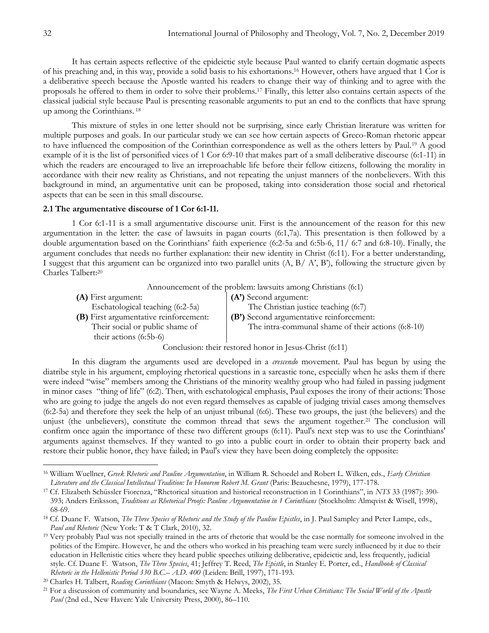It has certain aspects reflective of the epideictic style because Paul wanted to clarify certain dogmatic aspects of his preaching and, in this way, provide a solid basis to his exhortations.<sup>16</sup> However, others have argued that 1 Cor is a deliberative speech because the Apostle wanted his readers to change their way of thinking and to agree with the proposals he offered to them in order to solve their problems.<sup>17</sup> Finally, this letter also contains certain aspects of the classical judicial style because Paul is presenting reasonable arguments to put an end to the conflicts that have sprung up among the Corinthians. <sup>18</sup>

This mixture of styles in one letter should not be surprising, since early Christian literature was written for multiple purposes and goals. In our particular study we can see how certain aspects of Greco-Roman rhetoric appear to have influenced the composition of the Corinthian correspondence as well as the others letters by Paul.<sup>19</sup> A good example of it is the list of personified vices of 1 Cor 6:9-10 that makes part of a small deliberative discourse (6:1-11) in which the readers are encouraged to live an irreproachable life before their fellow citizens, following the morality in accordance with their new reality as Christians, and not repeating the unjust manners of the nonbelievers. With this background in mind, an argumentative unit can be proposed, taking into consideration those social and rhetorical aspects that can be seen in this small discourse.

#### **2.1 The argumentative discourse of 1 Cor 6:1-11.**

1 Cor 6:1-11 is a small argumentative discourse unit. First is the announcement of the reason for this new argumentation in the letter: the case of lawsuits in pagan courts (6:1,7a). This presentation is then followed by a double argumentation based on the Corinthians" faith experience (6:2-5a and 6:5b-6, 11/ 6:7 and 6:8-10). Finally, the argument concludes that needs no further explanation: their new identity in Christ (6:11). For a better understanding, I suggest that this argument can be organized into two parallel units  $(A, B \mid A, B')$ , following the structure given by Charles Talbert:<sup>20</sup>

Announcement of the problem: lawsuits among Christians (6:1)

**(A)** First argument: Eschatological teaching (6:2-5a) **(A')** Second argument: The Christian justice teaching (6:7) **(B)** First argumentative reinforcement: Their social or public shame of their actions (6:5b-6) **(B')** Second argumentative reinforcement: The intra-communal shame of their actions (6:8-10)

Conclusion: their restored honor in Jesus-Christ (6:11)

In this diagram the arguments used are developed in a *crescendo* movement. Paul has begun by using the diatribe style in his argument, employing rhetorical questions in a sarcastic tone, especially when he asks them if there were indeed "wise" members among the Christians of the minority wealthy group who had failed in passing judgment in minor cases "thing of life" (6:2). Then, with eschatological emphasis, Paul exposes the irony of their actions: Those who are going to judge the angels do not even regard themselves as capable of judging trivial cases among themselves (6:2-5a) and therefore they seek the help of an unjust tribunal (6:6). These two groups, the just (the believers) and the unjust (the unbelievers), constitute the common thread that sews the argument together.<sup>21</sup> The conclusion will confirm once again the importance of these two different groups (6:11). Paul's next step was to use the Corinthians' arguments against themselves. If they wanted to go into a public court in order to obtain their property back and restore their public honor, they have failed; in Paul's view they have been doing completely the opposite:

<sup>16</sup> William Wuellner, *Greek Rhetoric and Pauline Argumentation*, in William R. Schoedel and Robert L. Wilken, eds., *Early Christian Literature and the Classical Intellectual Tradition: In Honorem Robert M. Grant* (Paris: Beauchesne, 1979), 177-178.

<sup>17</sup> Cf. Elizabeth Schüssler Fiorenza, "Rhetorical situation and historical reconstruction in 1 Corinthians", in *NTS* 33 (1987): 390- 393; Anders Eriksson, *Traditions as Rhetorical Proofs: Pauline Argumentation in 1 Corinthians* (Stockholm: Almqvist & Wisell, 1998), 68-69.

<sup>&</sup>lt;sup>18</sup> Cf. Duane F. Watson, *The Three Species of Rhetoric and the Study of the Pauline Epistles*, in J. Paul Sampley and Peter Lampe, eds., *Paul and Rhetoric* (New York: T & T Clark, 2010), 32.

<sup>&</sup>lt;sup>19</sup> Very probably Paul was not specially trained in the arts of rhetoric that would be the case normally for someone involved in the politics of the Empire. However, he and the others who worked in his preaching team were surely influenced by it due to their education in Hellenistic cities where they heard public speeches utilizing deliberative, epideictic and, less frequently, judicial style. Cf. Duane F. Watson, *The Three Species*, 41; Jeffrey T. Reed, *The Epistle*, in Stanley E. Porter, ed., *Handbook of Classical Rhetoric in the Hellenistic Period 330 B.C.– A.D. 400* (Leiden: Brill, 1997), 171-193.

<sup>20</sup> Charles H. Talbert, *Reading Corinthians* (Macon: Smyth & Helwys, 2002), 35.

<sup>21</sup> For a discussion of community and boundaries, see Wayne A. Meeks, *The First Urban Christians: The Social World of the Apostle Paul* (2nd ed., New Haven: Yale University Press, 2000), 86–110.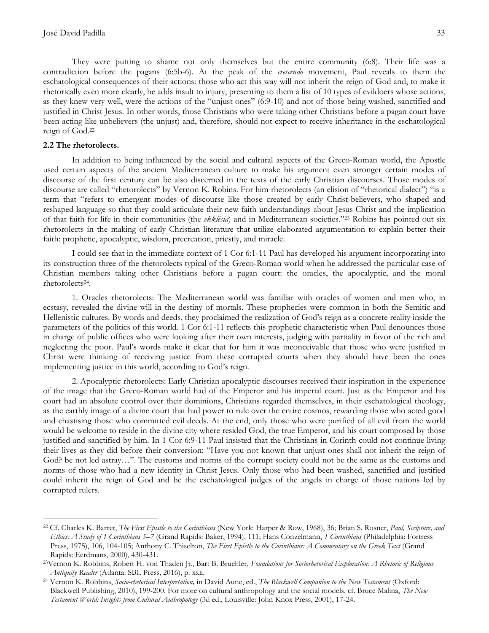They were putting to shame not only themselves but the entire community (6:8). Their life was a contradiction before the pagans (6:5b-6). At the peak of the *crescendo* movement, Paul reveals to them the eschatological consequences of their actions: those who act this way will not inherit the reign of God and, to make it rhetorically even more clearly, he adds insult to injury, presenting to them a list of 10 types of evildoers whose actions, as they knew very well, were the actions of the "unjust ones" (6:9-10) and not of those being washed, sanctified and justified in Christ Jesus. In other words, those Christians who were taking other Christians before a pagan court have been acting like unbelievers (the unjust) and, therefore, should not expect to receive inheritance in the eschatological reign of God.<sup>22</sup>

#### **2.2 The rhetorolects.**

 $\overline{a}$ 

In addition to being influenced by the social and cultural aspects of the Greco-Roman world, the Apostle used certain aspects of the ancient Mediterranean culture to make his argument even stronger certain modes of discourse of the first century can be also discerned in the texts of the early Christian discourses. Those modes of discourse are called "rhetorolects" by Vernon K. Robins. For him rhetorolects (an elision of "rhetorical dialect") "is a term that "refers to emergent modes of discourse like those created by early Christ-believers, who shaped and reshaped language so that they could articulate their new faith understandings about Jesus Christ and the implication of that faith for life in their communities (the *ekklēsia*) and in Mediterranean societies."<sup>23</sup> Robins has pointed out six rhetorolects in the making of early Christian literature that utilize elaborated argumentation to explain better their faith: prophetic, apocalyptic, wisdom, precreation, priestly, and miracle.

I could see that in the immediate context of 1 Cor 6:1-11 Paul has developed his argument incorporating into its construction three of the rhetorolects typical of the Greco-Roman world when he addressed the particular case of Christian members taking other Christians before a pagan court: the oracles, the apocalyptic, and the moral rhetorolects<sup>24</sup> .

1. Oracles rhetorolects: The Mediterranean world was familiar with oracles of women and men who, in ecstasy, revealed the divine will in the destiny of mortals. These prophecies were common in both the Semitic and Hellenistic cultures. By words and deeds, they proclaimed the realization of God"s reign as a concrete reality inside the parameters of the politics of this world. 1 Cor 6:1-11 reflects this prophetic characteristic when Paul denounces those in charge of public offices who were looking after their own interests, judging with partiality in favor of the rich and neglecting the poor. Paul"s words make it clear that for him it was inconceivable that those who were justified in Christ were thinking of receiving justice from these corrupted courts when they should have been the ones implementing justice in this world, according to God's reign.

2. Apocalyptic rhetorolects: Early Christian apocalyptic discourses received their inspiration in the experience of the image that the Greco-Roman world had of the Emperor and his imperial court. Just as the Emperor and his court had an absolute control over their dominions, Christians regarded themselves, in their eschatological theology, as the earthly image of a divine court that had power to rule over the entire cosmos, rewarding those who acted good and chastising those who committed evil deeds. At the end, only those who were purified of all evil from the world would be welcome to reside in the divine city where resided God, the true Emperor, and his court composed by those justified and sanctified by him. In 1 Cor 6:9-11 Paul insisted that the Christians in Corinth could not continue living their lives as they did before their conversion: "Have you not known that unjust ones shall not inherit the reign of God? be not led astray…". The customs and norms of the corrupt society could not be the same as the customs and norms of those who had a new identity in Christ Jesus. Only those who had been washed, sanctified and justified could inherit the reign of God and be the eschatological judges of the angels in charge of those nations led by corrupted rulers.

<sup>22</sup> Cf. Charles K. Barret, *The First Epistle to the Corinthians* (New York: Harper & Row, 1968), 36; Brian S. Rosner, *Paul, Scripture, and Ethics: A Study of 1 Corinthians 5–7* (Grand Rapids: Baker, 1994), 111; Hans Conzelmann, *1 Corinthians* (Philadelphia: Fortress Press, 1975), 106, 104-105; Anthony C. Thiselton, *The First Epistle to the Corinthians: A Commentary on the Greek Text* (Grand Rapids: Eerdmans, 2000), 430-431.

<sup>23</sup>Vernon K. Robbins, Robert H. von Thaden Jr., Bart B. Bruehler, *Foundations for Sociorhetorical Exploration: A Rhetoric of Religious Antiquity Reader* (Atlanta: SBL Press, 2016), p. xxii.

<sup>24</sup> Vernon K. Robbins, *Socio-rhetorical Interpretation,* in David Aune, ed., *The Blackwell Companion to the New Testament* (Oxford: Blackwell Publishing, 2010), 199-200. For more on cultural anthropology and the social models, cf. Bruce Malina, *The New Testament World: Insights from Cultural Anthropology* (3d ed., Louisville: John Knox Press, 2001), 17-24.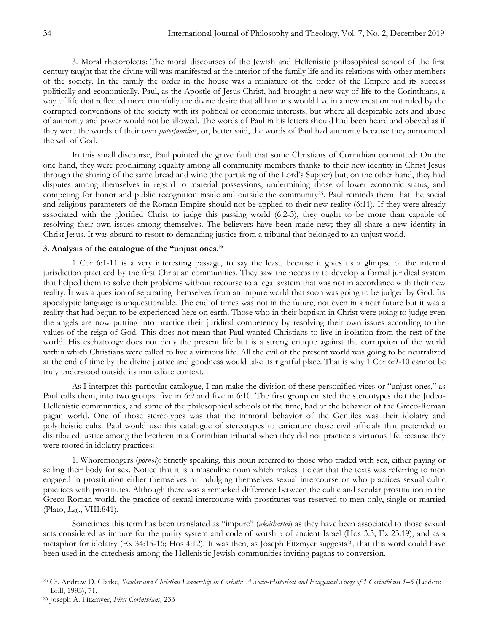3. Moral rhetorolects: The moral discourses of the Jewish and Hellenistic philosophical school of the first century taught that the divine will was manifested at the interior of the family life and its relations with other members of the society. In the family the order in the house was a miniature of the order of the Empire and its success politically and economically. Paul, as the Apostle of Jesus Christ, had brought a new way of life to the Corinthians, a way of life that reflected more truthfully the divine desire that all humans would live in a new creation not ruled by the corrupted conventions of the society with its political or economic interests, but where all despicable acts and abuse of authority and power would not be allowed. The words of Paul in his letters should had been heard and obeyed as if they were the words of their own *paterfamilias*, or, better said, the words of Paul had authority because they announced the will of God.

In this small discourse, Paul pointed the grave fault that some Christians of Corinthian committed: On the one hand, they were proclaiming equality among all community members thanks to their new identity in Christ Jesus through the sharing of the same bread and wine (the partaking of the Lord"s Supper) but, on the other hand, they had disputes among themselves in regard to material possessions, undermining those of lower economic status, and competing for honor and public recognition inside and outside the community<sup>25</sup>. Paul reminds them that the social and religious parameters of the Roman Empire should not be applied to their new reality (6:11). If they were already associated with the glorified Christ to judge this passing world (6:2-3), they ought to be more than capable of resolving their own issues among themselves. The believers have been made new; they all share a new identity in Christ Jesus. It was absurd to resort to demanding justice from a tribunal that belonged to an unjust world.

#### **3. Analysis of the catalogue of the "unjust ones."**

1 Cor 6:1-11 is a very interesting passage, to say the least, because it gives us a glimpse of the internal jurisdiction practiced by the first Christian communities. They saw the necessity to develop a formal juridical system that helped them to solve their problems without recourse to a legal system that was not in accordance with their new reality. It was a question of separating themselves from an impure world that soon was going to be judged by God. Its apocalyptic language is unquestionable. The end of times was not in the future, not even in a near future but it was a reality that had begun to be experienced here on earth. Those who in their baptism in Christ were going to judge even the angels are now putting into practice their juridical competency by resolving their own issues according to the values of the reign of God. This does not mean that Paul wanted Christians to live in isolation from the rest of the world. His eschatology does not deny the present life but is a strong critique against the corruption of the world within which Christians were called to live a virtuous life. All the evil of the present world was going to be neutralized at the end of time by the divine justice and goodness would take its rightful place. That is why 1 Cor 6:9-10 cannot be truly understood outside its immediate context.

As I interpret this particular catalogue, I can make the division of these personified vices or "unjust ones," as Paul calls them, into two groups: five in 6:9 and five in 6:10. The first group enlisted the stereotypes that the Judeo-Hellenistic communities, and some of the philosophical schools of the time, had of the behavior of the Greco-Roman pagan world. One of those stereotypes was that the immoral behavior of the Gentiles was their idolatry and polytheistic cults. Paul would use this catalogue of stereotypes to caricature those civil officials that pretended to distributed justice among the brethren in a Corinthian tribunal when they did not practice a virtuous life because they were rooted in idolatry practices:

1. Whoremongers (*pórnoi*): Strictly speaking, this noun referred to those who traded with sex, either paying or selling their body for sex. Notice that it is a masculine noun which makes it clear that the texts was referring to men engaged in prostitution either themselves or indulging themselves sexual intercourse or who practices sexual cultic practices with prostitutes. Although there was a remarked difference between the cultic and secular prostitution in the Greco-Roman world, the practice of sexual intercourse with prostitutes was reserved to men only, single or married (Plato, *Leg*., VIII:841).

Sometimes this term has been translated as "impure" (*akáthartoi*) as they have been associated to those sexual acts considered as impure for the purity system and code of worship of ancient Israel (Hos 3:3; Ez 23:19), and as a metaphor for idolatry (Ex 34:15-16; Hos 4:12). It was then, as Joseph Fitzmyer suggests<sup>26</sup>, that this word could have been used in the catechesis among the Hellenistic Jewish communities inviting pagans to conversion.

<sup>25</sup> Cf. Andrew D. Clarke, *Secular and Christian Leadership in Corinth: A Socio-Historical and Exegetical Study of 1 Corinthians 1–6* (Leiden: Brill, 1993), 71.

<sup>26</sup> Joseph A. Fitzmyer, *First Corinthians,* 233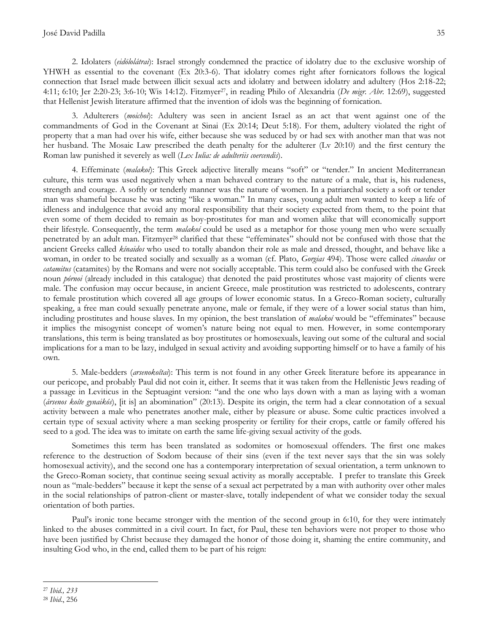2. Idolaters (*eidōlolátrai*): Israel strongly condemned the practice of idolatry due to the exclusive worship of YHWH as essential to the covenant (Ex 20:3-6). That idolatry comes right after fornicators follows the logical connection that Israel made between illicit sexual acts and idolatry and between idolatry and adultery (Hos 2:18-22; 4:11; 6:10; Jer 2:20-23; 3:6-10; Wis 14:12). Fitzmyer27, in reading Philo of Alexandria (*De migr. Abr.* 12:69), suggested that Hellenist Jewish literature affirmed that the invention of idols was the beginning of fornication.

3. Adulterers (*moichoí*): Adultery was seen in ancient Israel as an act that went against one of the commandments of God in the Covenant at Sinai (Ex 20:14; Deut 5:18). For them, adultery violated the right of property that a man had over his wife, either because she was seduced by or had sex with another man that was not her husband. The Mosaic Law prescribed the death penalty for the adulterer (Lv 20:10) and the first century the Roman law punished it severely as well (*Lex Iulia: de adulteriis coercendis*).

4. Effeminate (*malakoí*): This Greek adjective literally means "soft" or "tender." In ancient Mediterranean culture, this term was used negatively when a man behaved contrary to the nature of a male, that is, his rudeness, strength and courage. A softly or tenderly manner was the nature of women. In a patriarchal society a soft or tender man was shameful because he was acting "like a woman." In many cases, young adult men wanted to keep a life of idleness and indulgence that avoid any moral responsibility that their society expected from them, to the point that even some of them decided to remain as boy-prostitutes for man and women alike that will economically support their lifestyle. Consequently, the term *malakoí* could be used as a metaphor for those young men who were sexually penetrated by an adult man. Fitzmyer<sup>28</sup> clarified that these "effeminates" should not be confused with those that the ancient Greeks called *kínaidos* who used to totally abandon their role as male and dressed, thought, and behave like a woman, in order to be treated socially and sexually as a woman (cf. Plato, *Gorgias* 494). Those were called *cinaedus* or *catamitus* (catamites) by the Romans and were not socially acceptable. This term could also be confused with the Greek noun *pórnoi* (already included in this catalogue) that denoted the paid prostitutes whose vast majority of clients were male. The confusion may occur because, in ancient Greece, male prostitution was restricted to adolescents, contrary to female prostitution which covered all age groups of lower economic status. In a Greco-Roman society, culturally speaking, a free man could sexually penetrate anyone, male or female, if they were of a lower social status than him, including prostitutes and house slaves. In my opinion, the best translation of *malakoí* would be "effeminates" because it implies the misogynist concept of women's nature being not equal to men. However, in some contemporary translations, this term is being translated as boy prostitutes or homosexuals, leaving out some of the cultural and social implications for a man to be lazy, indulged in sexual activity and avoiding supporting himself or to have a family of his own.

5. Male-bedders (*arsenokoîtai*): This term is not found in any other Greek literature before its appearance in our pericope, and probably Paul did not coin it, either. It seems that it was taken from the Hellenistic Jews reading of a passage in Leviticus in the Septuagint version: "and the one who lays down with a man as laying with a woman (*ársenos koíte gynaikós*), [it is] an abomination" (20:13). Despite its origin, the term had a clear connotation of a sexual activity between a male who penetrates another male, either by pleasure or abuse. Some cultic practices involved a certain type of sexual activity where a man seeking prosperity or fertility for their crops, cattle or family offered his seed to a god. The idea was to imitate on earth the same life-giving sexual activity of the gods.

Sometimes this term has been translated as sodomites or homosexual offenders. The first one makes reference to the destruction of Sodom because of their sins (even if the text never says that the sin was solely homosexual activity), and the second one has a contemporary interpretation of sexual orientation, a term unknown to the Greco-Roman society, that continue seeing sexual activity as morally acceptable. I prefer to translate this Greek noun as "male-bedders" because it kept the sense of a sexual act perpetrated by a man with authority over other males in the social relationships of patron-client or master-slave, totally independent of what we consider today the sexual orientation of both parties.

Paul's ironic tone became stronger with the mention of the second group in 6:10, for they were intimately linked to the abuses committed in a civil court. In fact, for Paul, these ten behaviors were not proper to those who have been justified by Christ because they damaged the honor of those doing it, shaming the entire community, and insulting God who, in the end, called them to be part of his reign:

 $\overline{a}$ <sup>27</sup> *Ibid., 233*

<sup>28</sup> *Ibid*., 256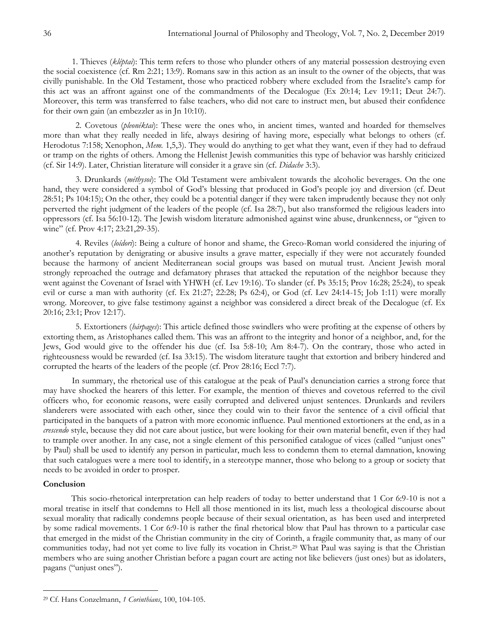1. Thieves (*kléptai*): This term refers to those who plunder others of any material possession destroying even the social coexistence (cf. Rm 2:21; 13:9). Romans saw in this action as an insult to the owner of the objects, that was civilly punishable. In the Old Testament, those who practiced robbery where excluded from the Israelite"s camp for this act was an affront against one of the commandments of the Decalogue (Ex 20:14; Lev 19:11; Deut 24:7). Moreover, this term was transferred to false teachers, who did not care to instruct men, but abused their confidence for their own gain (an embezzler as in Jn 10:10).

2. Covetous (*pleonéktai*): These were the ones who, in ancient times, wanted and hoarded for themselves more than what they really needed in life, always desiring of having more, especially what belongs to others (cf. Herodotus 7:158; Xenophon, *Mem.* 1,5,3). They would do anything to get what they want, even if they had to defraud or tramp on the rights of others. Among the Hellenist Jewish communities this type of behavior was harshly criticized (cf. Sir 14:9). Later, Christian literature will consider it a grave sin (cf. *Didache* 3:3).

3. Drunkards (*méthysoi*): The Old Testament were ambivalent towards the alcoholic beverages. On the one hand, they were considered a symbol of God's blessing that produced in God's people joy and diversion (cf. Deut 28:51; Ps 104:15); On the other, they could be a potential danger if they were taken imprudently because they not only perverted the right judgment of the leaders of the people (cf. Isa 28:7), but also transformed the religious leaders into oppressors (cf. Isa 56:10-12). The Jewish wisdom literature admonished against wine abuse, drunkenness, or "given to wine" (cf. Prov 4:17; 23:21,29-35).

4. Reviles (*loídori*): Being a culture of honor and shame, the Greco-Roman world considered the injuring of another"s reputation by denigrating or abusive insults a grave matter, especially if they were not accurately founded because the harmony of ancient Mediterranean social groups was based on mutual trust. Ancient Jewish moral strongly reproached the outrage and defamatory phrases that attacked the reputation of the neighbor because they went against the Covenant of Israel with YHWH (cf. Lev 19:16). To slander (cf. Ps 35:15; Prov 16:28; 25:24), to speak evil or curse a man with authority (cf. Ex 21:27; 22:28; Ps 62:4), or God (cf. Lev 24:14-15; Job 1:11) were morally wrong. Moreover, to give false testimony against a neighbor was considered a direct break of the Decalogue (cf. Ex 20:16; 23:1; Prov 12:17).

5. Extortioners (*hárpages*): This article defined those swindlers who were profiting at the expense of others by extorting them, as Aristophanes called them. This was an affront to the integrity and honor of a neighbor, and, for the Jews, God would give to the offender his due (cf. Isa 5:8-10; Am 8:4-7). On the contrary, those who acted in righteousness would be rewarded (cf. Isa 33:15). The wisdom literature taught that extortion and bribery hindered and corrupted the hearts of the leaders of the people (cf. Prov 28:16; Eccl 7:7).

In summary, the rhetorical use of this catalogue at the peak of Paul"s denunciation carries a strong force that may have shocked the hearers of this letter. For example, the mention of thieves and covetous referred to the civil officers who, for economic reasons, were easily corrupted and delivered unjust sentences. Drunkards and revilers slanderers were associated with each other, since they could win to their favor the sentence of a civil official that participated in the banquets of a patron with more economic influence. Paul mentioned extortioners at the end, as in a *crescendo* style, because they did not care about justice, but were looking for their own material benefit, even if they had to trample over another. In any case, not a single element of this personified catalogue of vices (called "unjust ones" by Paul) shall be used to identify any person in particular, much less to condemn them to eternal damnation, knowing that such catalogues were a mere tool to identify, in a stereotype manner, those who belong to a group or society that needs to be avoided in order to prosper.

## **Conclusion**

This socio-rhetorical interpretation can help readers of today to better understand that 1 Cor 6:9-10 is not a moral treatise in itself that condemns to Hell all those mentioned in its list, much less a theological discourse about sexual morality that radically condemns people because of their sexual orientation, as has been used and interpreted by some radical movements. 1 Cor 6:9-10 is rather the final rhetorical blow that Paul has thrown to a particular case that emerged in the midst of the Christian community in the city of Corinth, a fragile community that, as many of our communities today, had not yet come to live fully its vocation in Christ.<sup>29</sup> What Paul was saying is that the Christian members who are suing another Christian before a pagan court are acting not like believers (just ones) but as idolaters, pagans ("unjust ones").

 $\overline{a}$ <sup>29</sup> Cf. Hans Conzelmann, *1 Corinthians*, 100, 104-105.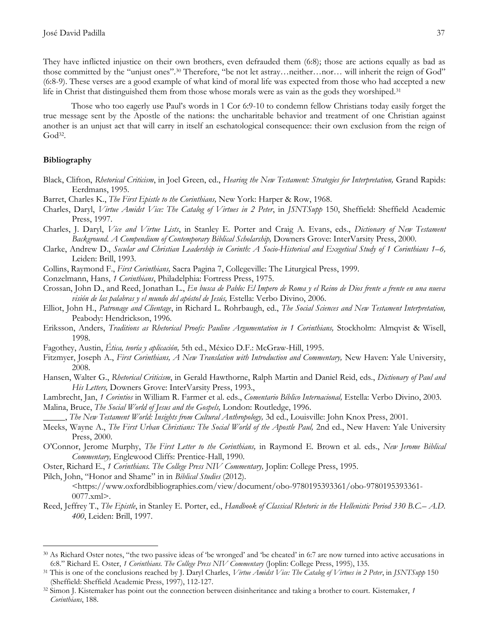They have inflicted injustice on their own brothers, even defrauded them (6:8); those are actions equally as bad as those committed by the "unjust ones".<sup>30</sup> Therefore, "be not let astray...neither...nor... will inherit the reign of God" (6:8-9). These verses are a good example of what kind of moral life was expected from those who had accepted a new life in Christ that distinguished them from those whose morals were as vain as the gods they worshiped.<sup>31</sup>

Those who too eagerly use Paul"s words in 1 Cor 6:9-10 to condemn fellow Christians today easily forget the true message sent by the Apostle of the nations: the uncharitable behavior and treatment of one Christian against another is an unjust act that will carry in itself an eschatological consequence: their own exclusion from the reign of God<sup>32</sup> .

## **Bibliography**

 $\overline{a}$ 

- Black, Clifton, *Rhetorical Criticism*, in Joel Green, ed., *Hearing the New Testament: Strategies for Interpretation,* Grand Rapids: Eerdmans, 1995.
- Barret, Charles K., *The First Epistle to the Corinthians,* New York: Harper & Row, 1968.
- Charles, Daryl, *Virtue Amidst Vice: The Catalog of Virtues in 2 Peter*, in *JSNTSupp* 150, Sheffield: Sheffield Academic Press, 1997.
- Charles, J. Daryl, *Vice and Virtue Lists*, in Stanley E. Porter and Craig A. Evans, eds., *Dictionary of New Testament Background. A Compendium of Contemporary Biblical Scholarship,* Downers Grove: InterVarsity Press, 2000.
- Clarke, Andrew D., *Secular and Christian Leadership in Corinth: A Socio-Historical and Exegetical Study of 1 Corinthians 1–6,*  Leiden: Brill, 1993.
- Collins, Raymond F., *First Corinthians,* Sacra Pagina 7, Collegeville: The Liturgical Press, 1999.
- Conzelmann, Hans, *1 Corinthians*, Philadelphia: Fortress Press, 1975.
- Crossan, John D., and Reed, Jonathan L., *En busca de Pablo: El Impero de Roma y el Reino de Dios frente a frente en una nueva visión de las palabras y el mundo del apóstol de Jesús,* Estella: Verbo Divino, 2006.
- Elliot, John H., *Patronage and Clientage*, in Richard L. Rohrbaugh, ed., *The Social Sciences and New Testament Interpretation,*  Peabody: Hendrickson, 1996.
- Eriksson, Anders, *Traditions as Rhetorical Proofs: Pauline Argumentation in 1 Corinthians*, Stockholm: Almqvist & Wisell, 1998.
- Fagothey, Austin, *Ética, teoría y aplicación,* 5th ed., México D.F.: McGraw-Hill, 1995.
- Fitzmyer, Joseph A., *First Corinthians, A New Translation with Introduction and Commentary,* New Haven: Yale University, 2008.
- Hansen, Walter G., *Rhetorical Criticism*, in Gerald Hawthorne, Ralph Martin and Daniel Reid, eds., *Dictionary of Paul and His Letters,* Downers Grove: InterVarsity Press, 1993.,
- Lambrecht, Jan, *1 Corintios* in William R. Farmer et al. eds., *Comentario Bíblico Internacional,* Estella: Verbo Divino, 2003.

Malina, Bruce, *The Social World of Jesus and the Gospels,* London: Routledge, 1996.

- \_\_\_\_\_, *The New Testament World: Insights from Cultural Anthropology,* 3d ed., Louisville: John Knox Press, 2001.
- Meeks, Wayne A., *The First Urban Christians: The Social World of the Apostle Paul,* 2nd ed., New Haven: Yale University Press, 2000.
- O"Connor, Jerome Murphy, *The First Letter to the Corinthians,* in Raymond E. Brown et al. eds., *New Jerome Biblical Commentary,* Englewood Cliffs: Prentice-Hall, 1990.
- Oster, Richard E., *1 Corinthians. The College Press NIV Commentary,* Joplin: College Press, 1995.

Pilch, John, "Honor and Shame" in in *Biblical Studies* (2012).

<https://www.oxfordbibliographies.com/view/document/obo-9780195393361/obo-9780195393361- 0077.xml>.

Reed, Jeffrey T., *The Epistle*, in Stanley E. Porter, ed., *Handbook of Classical Rhetoric in the Hellenistic Period 330 B.C.– A.D. 400*, Leiden: Brill, 1997.

<sup>30</sup> As Richard Oster notes, "the two passive ideas of "be wronged" and "be cheated" in 6:7 are now turned into active accusations in 6:8." Richard E. Oster, *1 Corinthians. The College Press NIV Commentary* (Joplin: College Press, 1995), 135.

<sup>31</sup> This is one of the conclusions reached by J. Daryl Charles, *Virtue Amidst Vice: The Catalog of Virtues in 2 Peter*, in *JSNTSupp* 150 (Sheffield: Sheffield Academic Press, 1997), 112-127.

<sup>32</sup> Simon J. Kistemaker has point out the connection between disinheritance and taking a brother to court. Kistemaker, *1 Corinthians*, 188.